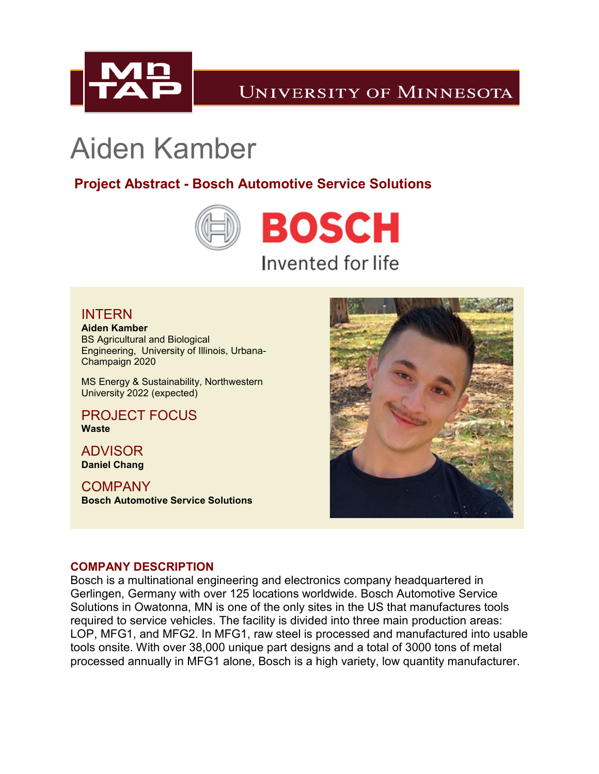

# Aiden Kamber

**Project Abstract - Bosch Automotive Service Solutions**



## INTERN

**Aiden Kamber** BS Agricultural and Biological Engineering, University of Illinois, Urbana-Champaign 2020

MS Energy & Sustainability, Northwestern University 2022 (expected)

PROJECT FOCUS **Waste**

ADVISOR **Daniel Chang**

**COMPANY Bosch Automotive Service Solutions**



#### **COMPANY DESCRIPTION**

Bosch is a multinational engineering and electronics company headquartered in Gerlingen, Germany with over 125 locations worldwide. Bosch Automotive Service Solutions in Owatonna, MN is one of the only sites in the US that manufactures tools required to service vehicles. The facility is divided into three main production areas: LOP, MFG1, and MFG2. In MFG1, raw steel is processed and manufactured into usable tools onsite. With over 38,000 unique part designs and a total of 3000 tons of metal processed annually in MFG1 alone, Bosch is a high variety, low quantity manufacturer.